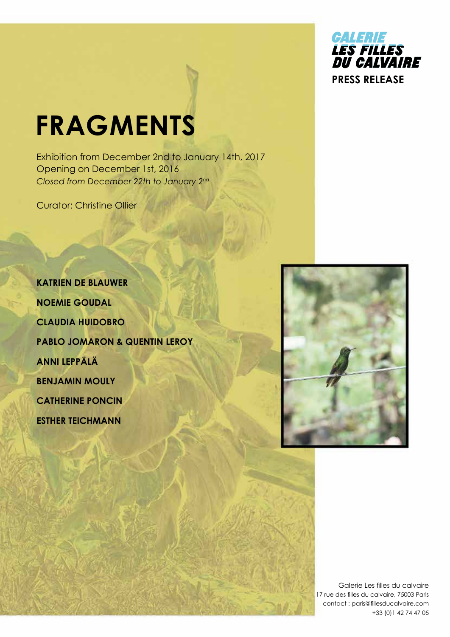

## **FRAGMENTS**

Exhibition from December 2nd to January 14th, 2017 Opening on December 1st, 2016 *Closed from December 22th to January 2nd*

Curator: Christine Ollier

**KATRIEN DE BLAUWER NOEMIE GOUDAL CLAUDIA HUIDOBRO Pablo Jomaron & Quentin Leroy ANNI LEPPÄLÄ BENJAMIN MOULY CATHERINE PONCIN ESTHER TEICHMANN** 



Galerie Les filles du calvaire 17 rue des filles du calvaire, 75003 Paris contact : paris@fillesducalvaire.com +33 (0)1 42 74 47 05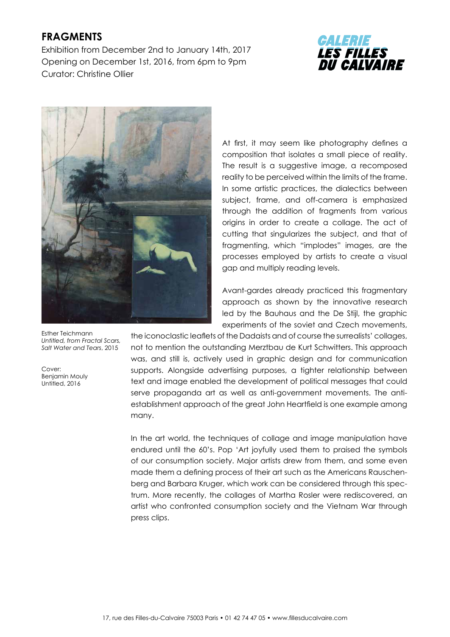## **FRAGMENTS**

Exhibition from December 2nd to January 14th, 2017 Opening on December 1st, 2016, from 6pm to 9pm Curator: Christine Ollier





Esther Teichmann *Untitled, from Fractal Scars, Salt Water and Tears*, 2015

Cover: Benjamin Mouly Untitled, 2016

At first, it may seem like photography defines a composition that isolates a small piece of reality. The result is a suggestive image, a recomposed reality to be perceived within the limits of the frame. In some artistic practices, the dialectics between subject, frame, and off-camera is emphasized through the addition of fragments from various origins in order to create a collage. The act of cutting that singularizes the subject, and that of fragmenting, which "implodes" images, are the processes employed by artists to create a visual gap and multiply reading levels.

Avant-gardes already practiced this fragmentary approach as shown by the innovative research led by the Bauhaus and the De Stijl, the graphic experiments of the soviet and Czech movements,

the iconoclastic leaflets of the Dadaists and of course the surrealists' collages, not to mention the outstanding Merztbau de Kurt Schwitters. This approach was, and still is, actively used in graphic design and for communication supports. Alongside advertising purposes, a tighter relationship between text and image enabled the development of political messages that could serve propaganda art as well as anti-government movements. The antiestablishment approach of the great John Heartfield is one example among many.

In the art world, the techniques of collage and image manipulation have endured until the 60's. Pop 'Art joyfully used them to praised the symbols of our consumption society. Major artists drew from them, and some even made them a defining process of their art such as the Americans Rauschenberg and Barbara Kruger, which work can be considered through this spectrum. More recently, the collages of Martha Rosler were rediscovered, an artist who confronted consumption society and the Vietnam War through press clips.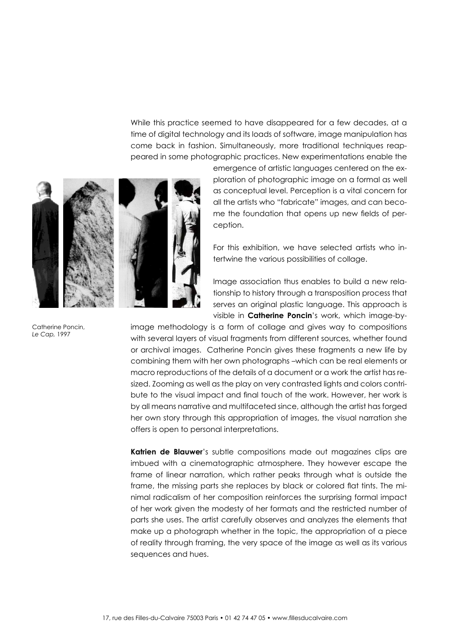While this practice seemed to have disappeared for a few decades, at a time of digital technology and its loads of software, image manipulation has come back in fashion. Simultaneously, more traditional techniques reappeared in some photographic practices. New experimentations enable the



emergence of artistic languages centered on the exploration of photographic image on a formal as well as conceptual level. Perception is a vital concern for all the artists who "fabricate" images, and can become the foundation that opens up new fields of perception.

For this exhibition, we have selected artists who intertwine the various possibilities of collage.

Image association thus enables to build a new relationship to history through a transposition process that serves an original plastic language. This approach is visible in **Catherine Poncin**'s work, which image-by-

image methodology is a form of collage and gives way to compositions with several layers of visual fragments from different sources, whether found or archival images. Catherine Poncin gives these fragments a new life by combining them with her own photographs –which can be real elements or macro reproductions of the details of a document or a work the artist has resized. Zooming as well as the play on very contrasted lights and colors contribute to the visual impact and final touch of the work. However, her work is by all means narrative and multifaceted since, although the artist has forged her own story through this appropriation of images, the visual narration she offers is open to personal interpretations.

**Katrien de Blauwer**'s subtle compositions made out magazines clips are imbued with a cinematographic atmosphere. They however escape the frame of linear narration, which rather peaks through what is outside the frame, the missing parts she replaces by black or colored flat tints. The minimal radicalism of her composition reinforces the surprising formal impact of her work given the modesty of her formats and the restricted number of parts she uses. The artist carefully observes and analyzes the elements that make up a photograph whether in the topic, the appropriation of a piece of reality through framing, the very space of the image as well as its various sequences and hues.

Catherine Poncin, *Le Cap,* 1997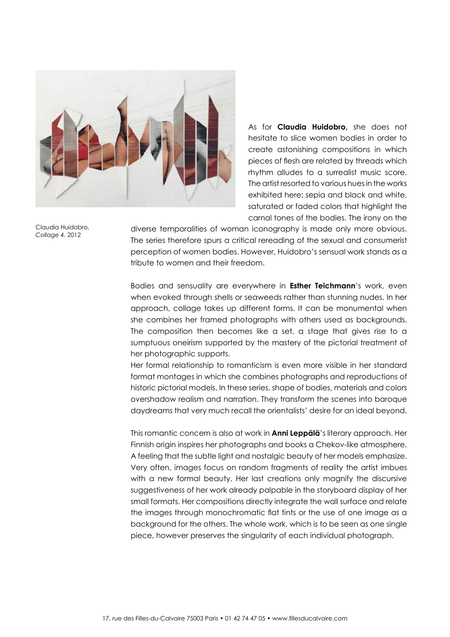

As for **Claudia Huidobro,** she does not hesitate to slice women bodies in order to create astonishing compositions in which pieces of flesh are related by threads which rhythm alludes to a surrealist music score. The artist resorted to various hues in the works exhibited here: sepia and black and white, saturated or faded colors that highlight the carnal tones of the bodies. The irony on the

Claudia Huidobro, *Collage 4,* 2012

diverse temporalities of woman iconography is made only more obvious. The series therefore spurs a critical rereading of the sexual and consumerist perception of women bodies. However, Huidobro's sensual work stands as a tribute to women and their freedom.

Bodies and sensuality are everywhere in **Esther Teichmann**'s work, even when evoked through shells or seaweeds rather than stunning nudes. In her approach, collage takes up different forms. It can be monumental when she combines her framed photographs with others used as backgrounds. The composition then becomes like a set, a stage that gives rise to a sumptuous oneirism supported by the mastery of the pictorial treatment of her photographic supports.

Her formal relationship to romanticism is even more visible in her standard format montages in which she combines photographs and reproductions of historic pictorial models. In these series, shape of bodies, materials and colors overshadow realism and narration. They transform the scenes into baroque daydreams that very much recall the orientalists' desire for an ideal beyond.

This romantic concern is also at work in **Anni Leppälä**'s literary approach. Her Finnish origin inspires her photographs and books a Chekov-like atmosphere. A feeling that the subtle light and nostalgic beauty of her models emphasize. Very often, images focus on random fragments of reality the artist imbues with a new formal beauty. Her last creations only magnify the discursive suggestiveness of her work already palpable in the storyboard display of her small formats. Her compositions directly integrate the wall surface and relate the images through monochromatic flat tints or the use of one image as a background for the others. The whole work, which is to be seen as one single piece, however preserves the singularity of each individual photograph.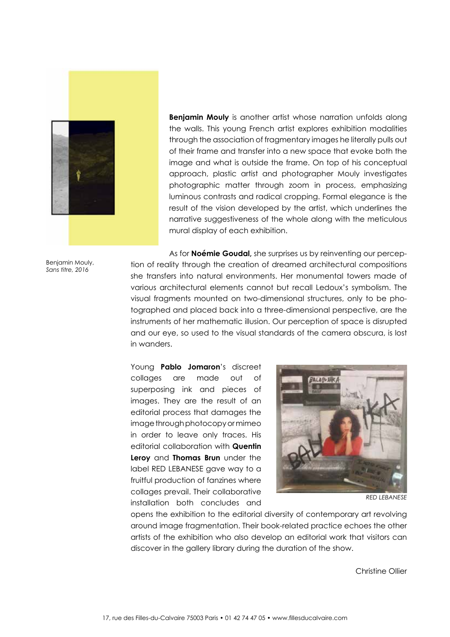

**Benjamin Mouly** is another artist whose narration unfolds along the walls. This young French artist explores exhibition modalities through the association of fragmentary images he literally pulls out of their frame and transfer into a new space that evoke both the image and what is outside the frame. On top of his conceptual approach, plastic artist and photographer Mouly investigates photographic matter through zoom in process, emphasizing luminous contrasts and radical cropping. Formal elegance is the result of the vision developed by the artist, which underlines the narrative suggestiveness of the whole along with the meticulous mural display of each exhibition.

Benjamin Mouly, *Sans titre, 2016*

As for **Noémie Goudal,** she surprises us by reinventing our perception of reality through the creation of dreamed architectural compositions she transfers into natural environments. Her monumental towers made of various architectural elements cannot but recall Ledoux's symbolism. The visual fragments mounted on two-dimensional structures, only to be photographed and placed back into a three-dimensional perspective, are the instruments of her mathematic illusion. Our perception of space is disrupted and our eye, so used to the visual standards of the camera obscura, is lost in wanders.

Young **Pablo Jomaron**'s discreet collages are made out of superposing ink and pieces of images. They are the result of an editorial process that damages the image through photocopy or mimeo in order to leave only traces. His editorial collaboration with **Quentin Leroy** and **Thomas Brun** under the label RED LEBANESE gave way to a fruitful production of fanzines where collages prevail. Their collaborative installation both concludes and



*RED LEBANESE*

opens the exhibition to the editorial diversity of contemporary art revolving around image fragmentation. Their book-related practice echoes the other artists of the exhibition who also develop an editorial work that visitors can discover in the gallery library during the duration of the show.

Christine Ollier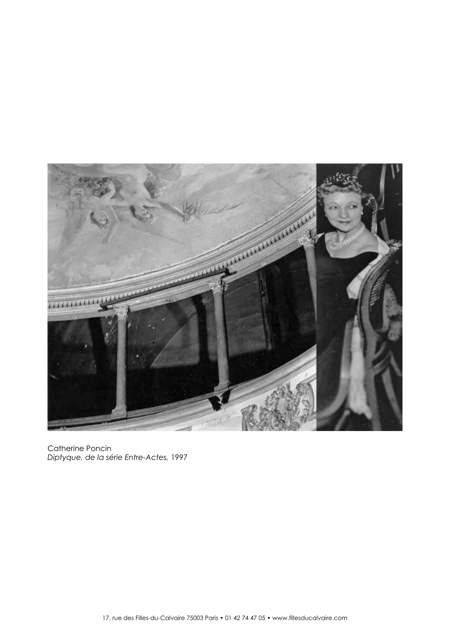

Catherine Poncin *Diptyque, de la série Entre-Actes,* 1997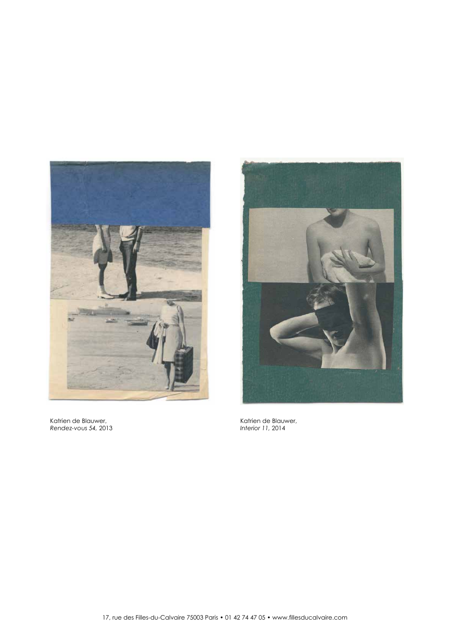

Katrien de Blauwer, *Rendez-vous 54,* 2013



Katrien de Blauwer, *Interior 11,* 2014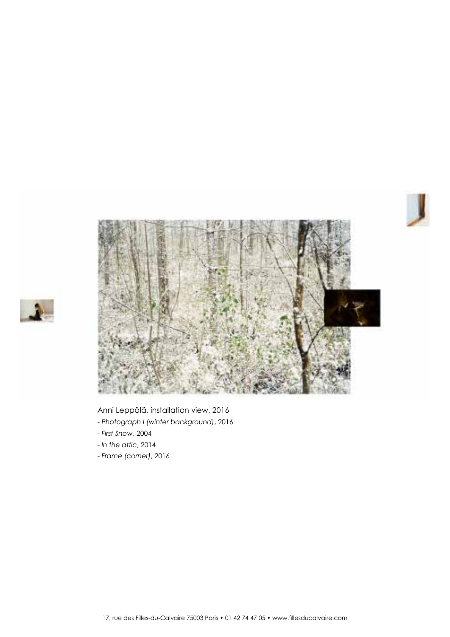



## Anni Leppälä, installation view, 2016

- *Photograph I (winter background)*, 2016
- *First Snow*, 2004
- *In the attic*, 2014
- - *Frame (corner)*, 2016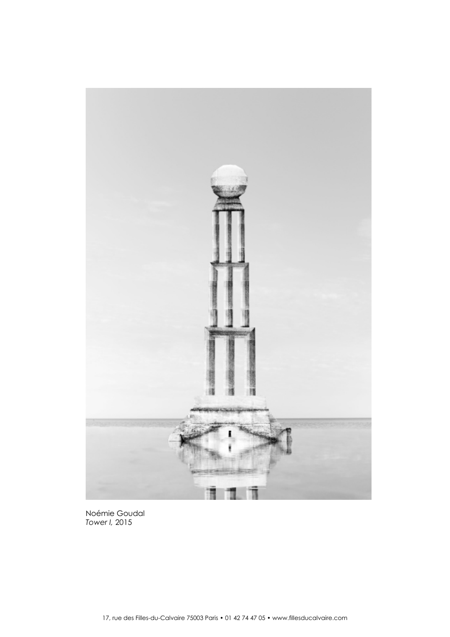

Noémie Goudal *Tower I,* 2015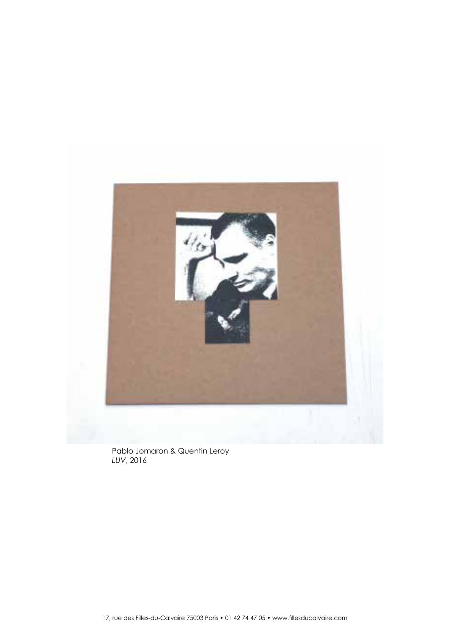

Pablo Jomaron & Quentin Leroy *LUV*, 2016